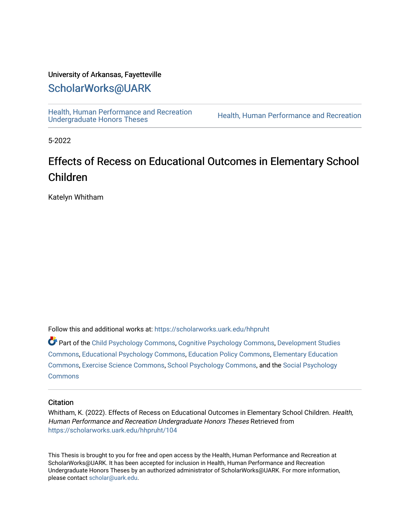## University of Arkansas, Fayetteville

# [ScholarWorks@UARK](https://scholarworks.uark.edu/)

[Health, Human Performance and Recreation](https://scholarworks.uark.edu/hhpruht) 

Health, Human Performance and Recreation

5-2022

# Effects of Recess on Educational Outcomes in Elementary School Children

Katelyn Whitham

Follow this and additional works at: [https://scholarworks.uark.edu/hhpruht](https://scholarworks.uark.edu/hhpruht?utm_source=scholarworks.uark.edu%2Fhhpruht%2F104&utm_medium=PDF&utm_campaign=PDFCoverPages) 

Part of the [Child Psychology Commons,](http://network.bepress.com/hgg/discipline/1023?utm_source=scholarworks.uark.edu%2Fhhpruht%2F104&utm_medium=PDF&utm_campaign=PDFCoverPages) [Cognitive Psychology Commons,](http://network.bepress.com/hgg/discipline/408?utm_source=scholarworks.uark.edu%2Fhhpruht%2F104&utm_medium=PDF&utm_campaign=PDFCoverPages) [Development Studies](http://network.bepress.com/hgg/discipline/1422?utm_source=scholarworks.uark.edu%2Fhhpruht%2F104&utm_medium=PDF&utm_campaign=PDFCoverPages)  [Commons](http://network.bepress.com/hgg/discipline/1422?utm_source=scholarworks.uark.edu%2Fhhpruht%2F104&utm_medium=PDF&utm_campaign=PDFCoverPages), [Educational Psychology Commons,](http://network.bepress.com/hgg/discipline/798?utm_source=scholarworks.uark.edu%2Fhhpruht%2F104&utm_medium=PDF&utm_campaign=PDFCoverPages) [Education Policy Commons](http://network.bepress.com/hgg/discipline/1026?utm_source=scholarworks.uark.edu%2Fhhpruht%2F104&utm_medium=PDF&utm_campaign=PDFCoverPages), [Elementary Education](http://network.bepress.com/hgg/discipline/1378?utm_source=scholarworks.uark.edu%2Fhhpruht%2F104&utm_medium=PDF&utm_campaign=PDFCoverPages)  [Commons](http://network.bepress.com/hgg/discipline/1378?utm_source=scholarworks.uark.edu%2Fhhpruht%2F104&utm_medium=PDF&utm_campaign=PDFCoverPages), [Exercise Science Commons,](http://network.bepress.com/hgg/discipline/1091?utm_source=scholarworks.uark.edu%2Fhhpruht%2F104&utm_medium=PDF&utm_campaign=PDFCoverPages) [School Psychology Commons,](http://network.bepress.com/hgg/discipline/1072?utm_source=scholarworks.uark.edu%2Fhhpruht%2F104&utm_medium=PDF&utm_campaign=PDFCoverPages) and the [Social Psychology](http://network.bepress.com/hgg/discipline/414?utm_source=scholarworks.uark.edu%2Fhhpruht%2F104&utm_medium=PDF&utm_campaign=PDFCoverPages)  **[Commons](http://network.bepress.com/hgg/discipline/414?utm_source=scholarworks.uark.edu%2Fhhpruht%2F104&utm_medium=PDF&utm_campaign=PDFCoverPages)** 

#### **Citation**

Whitham, K. (2022). Effects of Recess on Educational Outcomes in Elementary School Children. Health, Human Performance and Recreation Undergraduate Honors Theses Retrieved from [https://scholarworks.uark.edu/hhpruht/104](https://scholarworks.uark.edu/hhpruht/104?utm_source=scholarworks.uark.edu%2Fhhpruht%2F104&utm_medium=PDF&utm_campaign=PDFCoverPages) 

This Thesis is brought to you for free and open access by the Health, Human Performance and Recreation at ScholarWorks@UARK. It has been accepted for inclusion in Health, Human Performance and Recreation Undergraduate Honors Theses by an authorized administrator of ScholarWorks@UARK. For more information, please contact [scholar@uark.edu](mailto:scholar@uark.edu).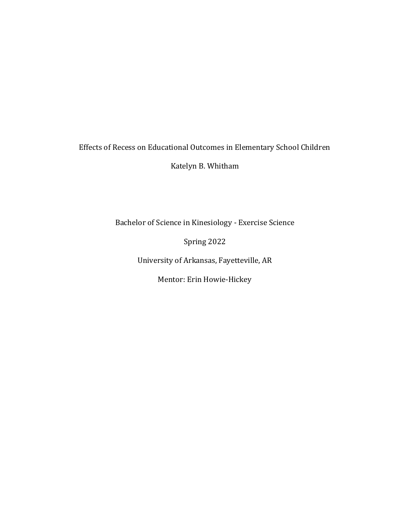# Effects of Recess on Educational Outcomes in Elementary School Children

Katelyn B. Whitham

Bachelor of Science in Kinesiology - Exercise Science

Spring 2022

University of Arkansas, Fayetteville, AR

Mentor: Erin Howie-Hickey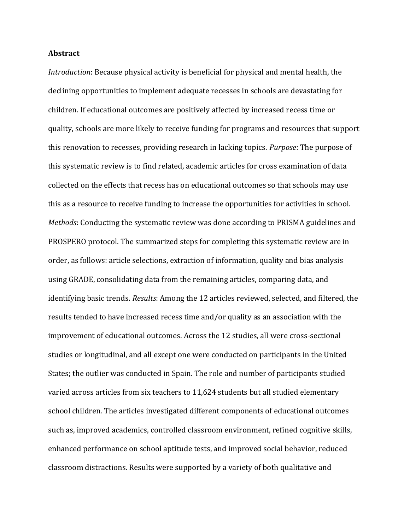### **Abstract**

*Introduction*: Because physical activity is beneficial for physical and mental health, the declining opportunities to implement adequate recesses in schools are devastating for children. If educational outcomes are positively affected by increased recess time or quality, schools are more likely to receive funding for programs and resources that support this renovation to recesses, providing research in lacking topics. *Purpose*: The purpose of this systematic review is to find related, academic articles for cross examination of data collected on the effects that recess has on educational outcomes so that schools may use this as a resource to receive funding to increase the opportunities for activities in school. *Methods*: Conducting the systematic review was done according to PRISMA guidelines and PROSPERO protocol. The summarized steps for completing this systematic review are in order, as follows: article selections, extraction of information, quality and bias analysis using GRADE, consolidating data from the remaining articles, comparing data, and identifying basic trends. *Results*: Among the 12 articles reviewed, selected, and filtered, the results tended to have increased recess time and/or quality as an association with the improvement of educational outcomes. Across the 12 studies, all were cross-sectional studies or longitudinal, and all except one were conducted on participants in the United States; the outlier was conducted in Spain. The role and number of participants studied varied across articles from six teachers to 11,624 students but all studied elementary school children. The articles investigated different components of educational outcomes such as, improved academics, controlled classroom environment, refined cognitive skills, enhanced performance on school aptitude tests, and improved social behavior, reduced classroom distractions. Results were supported by a variety of both qualitative and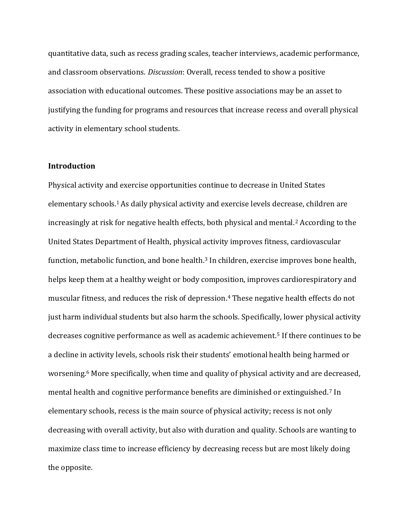quantitative data, such as recess grading scales, teacher interviews, academic performance, and classroom observations. *Discussion*: Overall, recess tended to show a positive association with educational outcomes. These positive associations may be an asset to justifying the funding for programs and resources that increase recess and overall physical activity in elementary school students.

### **Introduction**

Physical activity and exercise opportunities continue to decrease in United States elementary schools. <sup>1</sup>As daily physical activity and exercise levels decrease, children are increasingly at risk for negative health effects, both physical and mental.<sup>2</sup> According to the United States Department of Health, physical activity improves fitness, cardiovascular function, metabolic function, and bone health.<sup>3</sup> In children, exercise improves bone health, helps keep them at a healthy weight or body composition, improves cardiorespiratory and muscular fitness, and reduces the risk of depression. <sup>4</sup> These negative health effects do not just harm individual students but also harm the schools. Specifically, lower physical activity decreases cognitive performance as well as academic achievement.<sup>5</sup> If there continues to be a decline in activity levels, schools risk their students' emotional health being harmed or worsening.<sup>6</sup> More specifically, when time and quality of physical activity and are decreased, mental health and cognitive performance benefits are diminished or extinguished.<sup>7</sup> In elementary schools, recess is the main source of physical activity; recess is not only decreasing with overall activity, but also with duration and quality. Schools are wanting to maximize class time to increase efficiency by decreasing recess but are most likely doing the opposite.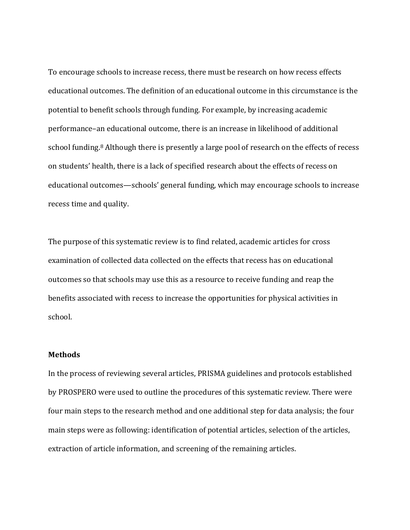To encourage schools to increase recess, there must be research on how recess effects educational outcomes. The definition of an educational outcome in this circumstance is the potential to benefit schools through funding. For example, by increasing academic performance–an educational outcome, there is an increase in likelihood of additional school funding.<sup>8</sup> Although there is presently a large pool of research on the effects of recess on students' health, there is a lack of specified research about the effects of recess on educational outcomes—schools' general funding, which may encourage schools to increase recess time and quality.

The purpose of this systematic review is to find related, academic articles for cross examination of collected data collected on the effects that recess has on educational outcomes so that schools may use this as a resource to receive funding and reap the benefits associated with recess to increase the opportunities for physical activities in school.

## **Methods**

In the process of reviewing several articles, PRISMA guidelines and protocols established by PROSPERO were used to outline the procedures of this systematic review. There were four main steps to the research method and one additional step for data analysis; the four main steps were as following: identification of potential articles, selection of the articles, extraction of article information, and screening of the remaining articles.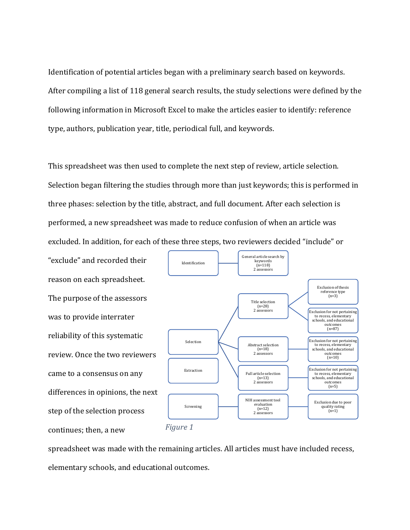Identification of potential articles began with a preliminary search based on keywords. After compiling a list of 118 general search results, the study selections were defined by the following information in Microsoft Excel to make the articles easier to identify: reference type, authors, publication year, title, periodical full, and keywords.

This spreadsheet was then used to complete the next step of review, article selection. Selection began filtering the studies through more than just keywords; this is performed in three phases: selection by the title, abstract, and full document. After each selection is performed, a new spreadsheet was made to reduce confusion of when an article was excluded. In addition, for each of these three steps, two reviewers decided "include" or

"exclude" and recorded their reason on each spreadsheet. The purpose of the assessors was to provide interrater reliability of this systematic review. Once the two reviewers came to a consensus on any differences in opinions, the next step of the selection process continues; then, a new



spreadsheet was made with the remaining articles. All articles must have included recess, elementary schools, and educational outcomes.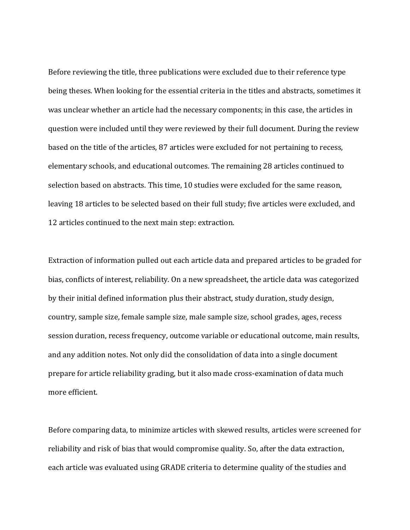Before reviewing the title, three publications were excluded due to their reference type being theses. When looking for the essential criteria in the titles and abstracts, sometimes it was unclear whether an article had the necessary components; in this case, the articles in question were included until they were reviewed by their full document. During the review based on the title of the articles, 87 articles were excluded for not pertaining to recess, elementary schools, and educational outcomes. The remaining 28 articles continued to selection based on abstracts. This time, 10 studies were excluded for the same reason, leaving 18 articles to be selected based on their full study; five articles were excluded, and 12 articles continued to the next main step: extraction.

Extraction of information pulled out each article data and prepared articles to be graded for bias, conflicts of interest, reliability. On a new spreadsheet, the article data was categorized by their initial defined information plus their abstract, study duration, study design, country, sample size, female sample size, male sample size, school grades, ages, recess session duration, recess frequency, outcome variable or educational outcome, main results, and any addition notes. Not only did the consolidation of data into a single document prepare for article reliability grading, but it also made cross-examination of data much more efficient.

Before comparing data, to minimize articles with skewed results, articles were screened for reliability and risk of bias that would compromise quality. So, after the data extraction, each article was evaluated using GRADE criteria to determine quality of the studies and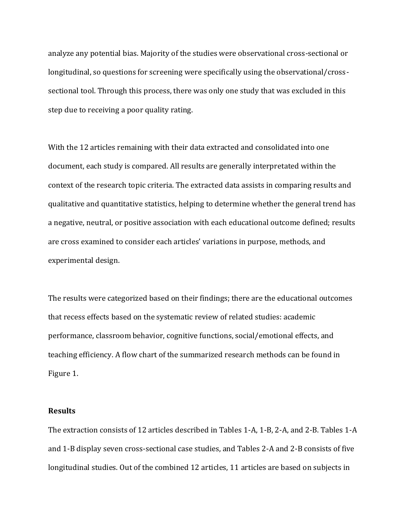analyze any potential bias. Majority of the studies were observational cross-sectional or longitudinal, so questions for screening were specifically using the observational/crosssectional tool. Through this process, there was only one study that was excluded in this step due to receiving a poor quality rating.

With the 12 articles remaining with their data extracted and consolidated into one document, each study is compared. All results are generally interpretated within the context of the research topic criteria. The extracted data assists in comparing results and qualitative and quantitative statistics, helping to determine whether the general trend has a negative, neutral, or positive association with each educational outcome defined; results are cross examined to consider each articles' variations in purpose, methods, and experimental design.

The results were categorized based on their findings; there are the educational outcomes that recess effects based on the systematic review of related studies: academic performance, classroom behavior, cognitive functions, social/emotional effects, and teaching efficiency. A flow chart of the summarized research methods can be found in Figure 1.

### **Results**

The extraction consists of 12 articles described in Tables 1-A, 1-B, 2-A, and 2-B. Tables 1-A and 1-B display seven cross-sectional case studies, and Tables 2-A and 2-B consists of five longitudinal studies. Out of the combined 12 articles, 11 articles are based on subjects in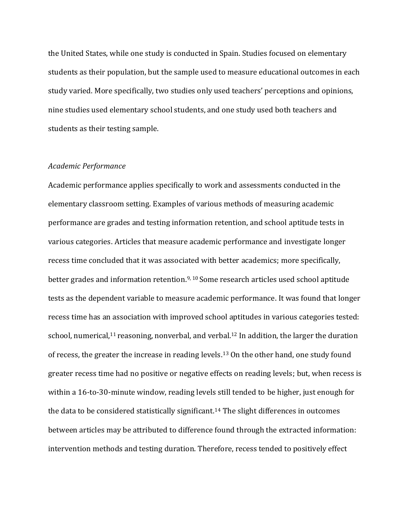the United States, while one study is conducted in Spain. Studies focused on elementary students as their population, but the sample used to measure educational outcomes in each study varied. More specifically, two studies only used teachers' perceptions and opinions, nine studies used elementary school students, and one study used both teachers and students as their testing sample.

#### *Academic Performance*

Academic performance applies specifically to work and assessments conducted in the elementary classroom setting. Examples of various methods of measuring academic performance are grades and testing information retention, and school aptitude tests in various categories. Articles that measure academic performance and investigate longer recess time concluded that it was associated with better academics; more specifically, better grades and information retention. 9, 10 Some research articles used school aptitude tests as the dependent variable to measure academic performance. It was found that longer recess time has an association with improved school aptitudes in various categories tested: school, numerical,<sup>11</sup> reasoning, nonverbal, and verbal.<sup>12</sup> In addition, the larger the duration of recess, the greater the increase in reading levels. <sup>13</sup> On the other hand, one study found greater recess time had no positive or negative effects on reading levels; but, when recess is within a 16-to-30-minute window, reading levels still tended to be higher, just enough for the data to be considered statistically significant.<sup>14</sup> The slight differences in outcomes between articles may be attributed to difference found through the extracted information: intervention methods and testing duration. Therefore, recess tended to positively effect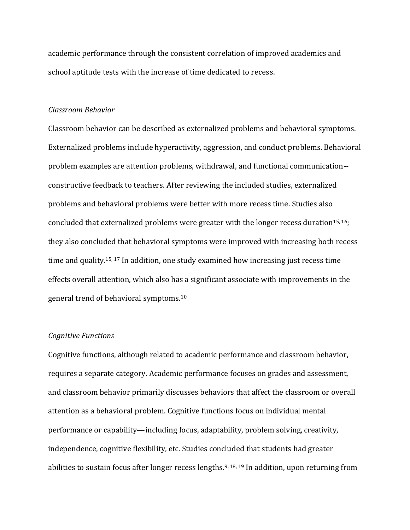academic performance through the consistent correlation of improved academics and school aptitude tests with the increase of time dedicated to recess.

#### *Classroom Behavior*

Classroom behavior can be described as externalized problems and behavioral symptoms. Externalized problems include hyperactivity, aggression, and conduct problems. Behavioral problem examples are attention problems, withdrawal, and functional communication- constructive feedback to teachers. After reviewing the included studies, externalized problems and behavioral problems were better with more recess time. Studies also concluded that externalized problems were greater with the longer recess duration<sup>15, 16</sup>; they also concluded that behavioral symptoms were improved with increasing both recess time and quality.<sup>15, 17</sup> In addition, one study examined how increasing just recess time effects overall attention, which also has a significant associate with improvements in the general trend of behavioral symptoms.<sup>10</sup>

#### *Cognitive Functions*

Cognitive functions, although related to academic performance and classroom behavior, requires a separate category. Academic performance focuses on grades and assessment, and classroom behavior primarily discusses behaviors that affect the classroom or overall attention as a behavioral problem. Cognitive functions focus on individual mental performance or capability—including focus, adaptability, problem solving, creativity, independence, cognitive flexibility, etc. Studies concluded that students had greater abilities to sustain focus after longer recess lengths.<sup>9, 18, 19</sup> In addition, upon returning from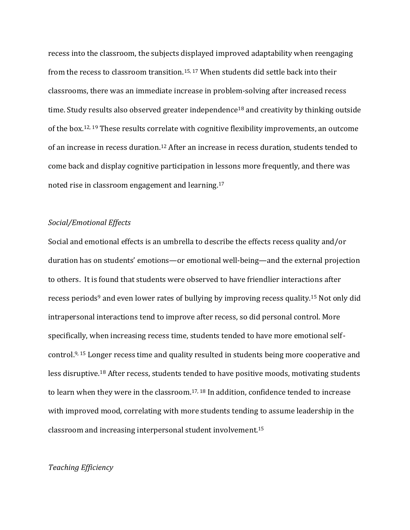recess into the classroom, the subjects displayed improved adaptability when reengaging from the recess to classroom transition.15, 17 When students did settle back into their classrooms, there was an immediate increase in problem-solving after increased recess time. Study results also observed greater independence<sup>18</sup> and creativity by thinking outside of the box.<sup>12, 19</sup> These results correlate with cognitive flexibility improvements, an outcome of an increase in recess duration. <sup>12</sup> After an increase in recess duration, students tended to come back and display cognitive participation in lessons more frequently, and there was noted rise in classroom engagement and learning. 17

### *Social/Emotional Effects*

Social and emotional effects is an umbrella to describe the effects recess quality and/or duration has on students' emotions—or emotional well-being—and the external projection to others. It is found that students were observed to have friendlier interactions after recess periods<sup>9</sup> and even lower rates of bullying by improving recess quality.<sup>15</sup> Not only did intrapersonal interactions tend to improve after recess, so did personal control. More specifically, when increasing recess time, students tended to have more emotional selfcontrol. 9, 15 Longer recess time and quality resulted in students being more cooperative and less disruptive.<sup>18</sup> After recess, students tended to have positive moods, motivating students to learn when they were in the classroom. 17, 18 In addition, confidence tended to increase with improved mood, correlating with more students tending to assume leadership in the classroom and increasing interpersonal student involvement.<sup>15</sup>

### *Teaching Efficiency*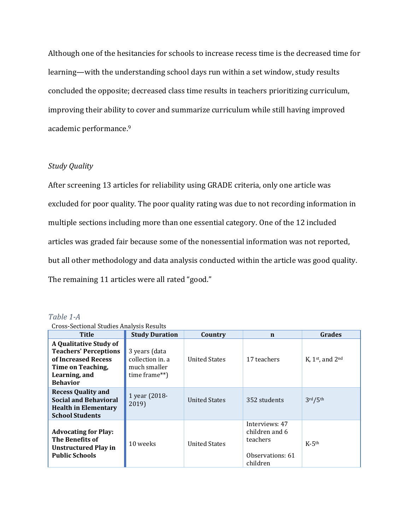Although one of the hesitancies for schools to increase recess time is the decreased time for learning—with the understanding school days run within a set window, study results concluded the opposite; decreased class time results in teachers prioritizing curriculum, improving their ability to cover and summarize curriculum while still having improved academic performance. 9

# *Study Quality*

After screening 13 articles for reliability using GRADE criteria, only one article was excluded for poor quality. The poor quality rating was due to not recording information in multiple sections including more than one essential category. One of the 12 included articles was graded fair because some of the nonessential information was not reported, but all other methodology and data analysis conducted within the article was good quality. The remaining 11 articles were all rated "good."

| Cross-Sectional Studies Analysis Results                                                                                               |                                                                   |                      |                                                                              |                                  |
|----------------------------------------------------------------------------------------------------------------------------------------|-------------------------------------------------------------------|----------------------|------------------------------------------------------------------------------|----------------------------------|
| <b>Title</b>                                                                                                                           | <b>Study Duration</b>                                             | Country              | n                                                                            | <b>Grades</b>                    |
| A Qualitative Study of<br><b>Teachers' Perceptions</b><br>of Increased Recess<br>Time on Teaching,<br>Learning, and<br><b>Behavior</b> | 3 years (data<br>collection in a<br>much smaller<br>time frame**) | <b>United States</b> | 17 teachers                                                                  | K, $1$ <sup>st</sup> , and $2nd$ |
| <b>Recess Quality and</b><br><b>Social and Behavioral</b><br><b>Health in Elementary</b><br><b>School Students</b>                     | 1 year (2018-<br>2019)                                            | <b>United States</b> | 352 students                                                                 | 3rd/5th                          |
| <b>Advocating for Play:</b><br>The Benefits of<br>Unstructured Play in<br><b>Public Schools</b>                                        | 10 weeks                                                          | <b>United States</b> | Interviews: 47<br>children and 6<br>teachers<br>Observations: 61<br>children | $K-5$ th                         |

*Table 1-A*

| <b>Cross-Sectional Studies Analysis Results</b> |  |  |
|-------------------------------------------------|--|--|
|                                                 |  |  |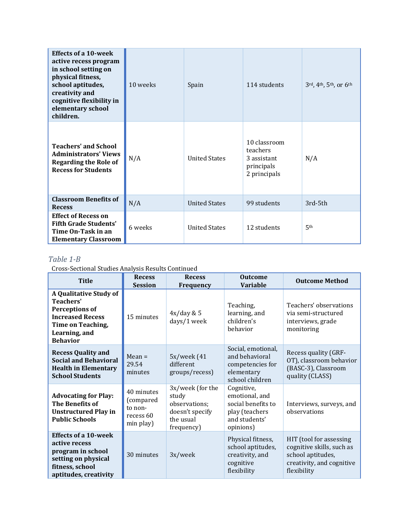| <b>Effects of a 10-week</b><br>active recess program<br>in school setting on<br>physical fitness,<br>school aptitudes,<br>creativity and<br>cognitive flexibility in<br>elementary school<br>children. | 10 weeks | Spain                | 114 students                                                          | 3rd, 4th, 5th, or 6th |
|--------------------------------------------------------------------------------------------------------------------------------------------------------------------------------------------------------|----------|----------------------|-----------------------------------------------------------------------|-----------------------|
| <b>Teachers' and School</b><br><b>Administrators' Views</b><br><b>Regarding the Role of</b><br><b>Recess for Students</b>                                                                              | N/A      | <b>United States</b> | 10 classroom<br>teachers<br>3 assistant<br>principals<br>2 principals | N/A                   |
| <b>Classroom Benefits of</b><br><b>Recess</b>                                                                                                                                                          | N/A      | <b>United States</b> | 99 students                                                           | 3rd-5th               |
| <b>Effect of Recess on</b><br><b>Fifth Grade Students'</b><br>Time On-Task in an<br><b>Elementary Classroom</b>                                                                                        | 6 weeks  | <b>United States</b> | 12 students                                                           | 5 <sup>th</sup>       |

# *Table 1-B*

Cross-Sectional Studies Analysis Results Continued

| <b>Title</b>                                                                                                                                     | <b>Recess</b><br><b>Session</b>                              | <b>Recess</b><br>Frequency                                                               | <b>Outcome</b><br><b>Variable</b>                                                                  | <b>Outcome Method</b>                                                                                                 |
|--------------------------------------------------------------------------------------------------------------------------------------------------|--------------------------------------------------------------|------------------------------------------------------------------------------------------|----------------------------------------------------------------------------------------------------|-----------------------------------------------------------------------------------------------------------------------|
| A Qualitative Study of<br>Teachers'<br><b>Perceptions of</b><br><b>Increased Recess</b><br>Time on Teaching,<br>Learning, and<br><b>Behavior</b> | 15 minutes                                                   | 4x/day & 5<br>days/1 week                                                                | Teaching,<br>learning, and<br>children's<br>behavior                                               | Teachers' observations<br>via semi-structured<br>interviews, grade<br>monitoring                                      |
| <b>Recess Quality and</b><br><b>Social and Behavioral</b><br><b>Health in Elementary</b><br><b>School Students</b>                               | $Mean =$<br>29.54<br>minutes                                 | 5x/week (41<br>different<br>groups/recess)                                               | Social, emotional,<br>and behavioral<br>competencies for<br>elementary<br>school children          | Recess quality (GRF-<br>OT), classroom behavior<br>(BASC-3), Classroom<br>quality (CLASS)                             |
| <b>Advocating for Play:</b><br>The Benefits of<br><b>Unstructured Play in</b><br><b>Public Schools</b>                                           | 40 minutes<br>(compared<br>to non-<br>recess 60<br>min play) | 3x/week (for the<br>study<br>observations;<br>doesn't specify<br>the usual<br>frequency) | Cognitive,<br>emotional, and<br>social benefits to<br>play (teachers<br>and students'<br>opinions) | Interviews, surveys, and<br>observations                                                                              |
| <b>Effects of a 10-week</b><br>active recess<br>program in school<br>setting on physical<br>fitness, school<br>aptitudes, creativity             | 30 minutes                                                   | 3x/week                                                                                  | Physical fitness,<br>school aptitudes,<br>creativity, and<br>cognitive<br>flexibility              | HIT (tool for assessing<br>cognitive skills, such as<br>school aptitudes,<br>creativity, and cognitive<br>flexibility |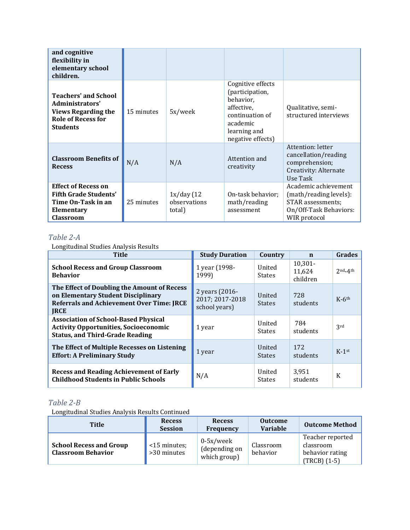| and cognitive<br>flexibility in<br>elementary school<br>children.                                                            |            |                                       |                                                                                                                                     |                                                                                                               |
|------------------------------------------------------------------------------------------------------------------------------|------------|---------------------------------------|-------------------------------------------------------------------------------------------------------------------------------------|---------------------------------------------------------------------------------------------------------------|
| <b>Teachers' and School</b><br>Administrators'<br><b>Views Regarding the</b><br><b>Role of Recess for</b><br><b>Students</b> | 15 minutes | 5x/week                               | Cognitive effects<br>(participation,<br>behavior,<br>affective,<br>continuation of<br>academic<br>learning and<br>negative effects) | Qualitative, semi-<br>structured interviews                                                                   |
| <b>Classroom Benefits of</b><br><b>Recess</b>                                                                                | N/A        | N/A                                   | Attention and<br>creativity                                                                                                         | Attention: letter<br>cancellation/reading<br>comprehension;<br>Creativity: Alternate<br>Use Task              |
| <b>Effect of Recess on</b><br><b>Fifth Grade Students'</b><br>Time On-Task in an<br>Elementary<br><b>Classroom</b>           | 25 minutes | 1x/day (12)<br>observations<br>total) | On-task behavior;<br>math/reading<br>assessment                                                                                     | Academic achievement<br>(math/reading levels):<br>STAR assessments;<br>On/Off-Task Behaviors:<br>WIR protocol |

# *Table 2-A*

Longitudinal Studies Analysis Results

| <b>Title</b>                                                                                                                                         | <b>Study Duration</b>                              | Country                 | n                                | <b>Grades</b>       |
|------------------------------------------------------------------------------------------------------------------------------------------------------|----------------------------------------------------|-------------------------|----------------------------------|---------------------|
| <b>School Recess and Group Classroom</b><br><b>Behavior</b>                                                                                          | 1 year (1998-<br>1999)                             | United<br><b>States</b> | $10,301 -$<br>11,624<br>children | $2nd-4th$           |
| The Effect of Doubling the Amount of Recess<br>on Elementary Student Disciplinary<br><b>Referrals and Achievement Over Time: JRCE</b><br><b>JRCE</b> | 2 years (2016-<br>2017; 2017-2018<br>school years) | United<br><b>States</b> | 728<br>students                  | $K-6$ <sup>th</sup> |
| <b>Association of School-Based Physical</b><br><b>Activity Opportunities, Socioeconomic</b><br><b>Status, and Third-Grade Reading</b>                | 1 year                                             | United<br><b>States</b> | 784<br>students                  | 3rd                 |
| The Effect of Multiple Recesses on Listening<br><b>Effort: A Preliminary Study</b>                                                                   | 1 year                                             | United<br><b>States</b> | 172<br>students                  | $K-1$ st            |
| <b>Recess and Reading Achievement of Early</b><br><b>Childhood Students in Public Schools</b>                                                        | N/A                                                | United<br><b>States</b> | 3,951<br>students                | K                   |

# *Table 2-B*

Longitudinal Studies Analysis Results Continued

| <b>Title</b>                                                | <b>Recess</b><br><b>Session</b> | <b>Recess</b><br><b>Frequency</b>             | <b>Outcome</b><br><b>Variable</b> | <b>Outcome Method</b>                                              |
|-------------------------------------------------------------|---------------------------------|-----------------------------------------------|-----------------------------------|--------------------------------------------------------------------|
| <b>School Recess and Group</b><br><b>Classroom Behavior</b> | <15 minutes;<br>>30 minutes     | $0-5x/$ week<br>(depending on<br>which group) | Classroom<br>behavior             | Teacher reported<br>classroom<br>behavior rating<br>$(TRCB) (1-5)$ |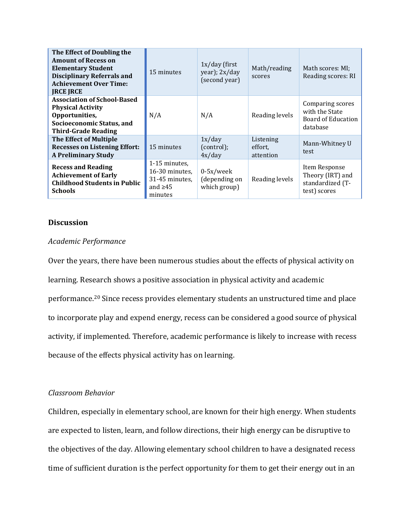| The Effect of Doubling the<br><b>Amount of Recess on</b><br><b>Elementary Student</b><br><b>Disciplinary Referrals and</b><br><b>Achievement Over Time:</b><br><b>IRCE IRCE</b> | 15 minutes                                                                    | $1x/day$ (first<br>year); 2x/day<br>(second year) | Math/reading<br>scores            | Math scores: MI;<br>Reading scores: RI                                |
|---------------------------------------------------------------------------------------------------------------------------------------------------------------------------------|-------------------------------------------------------------------------------|---------------------------------------------------|-----------------------------------|-----------------------------------------------------------------------|
| <b>Association of School-Based</b><br><b>Physical Activity</b><br>Opportunities,<br>Socioeconomic Status, and<br><b>Third-Grade Reading</b>                                     | N/A                                                                           | N/A                                               | Reading levels                    | Comparing scores<br>with the State<br>Board of Education<br>database  |
| <b>The Effect of Multiple</b><br><b>Recesses on Listening Effort:</b><br><b>A Preliminary Study</b>                                                                             | 15 minutes                                                                    | 1x/day<br>(control);<br>4x/day                    | Listening<br>effort,<br>attention | Mann-Whitney U<br>test                                                |
| <b>Recess and Reading</b><br><b>Achievement of Early</b><br><b>Childhood Students in Public</b><br><b>Schools</b>                                                               | 1-15 minutes.<br>16-30 minutes.<br>31-45 minutes,<br>and $\geq 45$<br>minutes | $0-5x/$ week<br>(depending on<br>which group)     | Reading levels                    | Item Response<br>Theory (IRT) and<br>standardized (T-<br>test) scores |

# **Discussion**

# *Academic Performance*

Over the years, there have been numerous studies about the effects of physical activity on learning. Research shows a positive association in physical activity and academic performance.<sup>20</sup> Since recess provides elementary students an unstructured time and place to incorporate play and expend energy, recess can be considered a good source of physical activity, if implemented. Therefore, academic performance is likely to increase with recess because of the effects physical activity has on learning.

# *Classroom Behavior*

Children, especially in elementary school, are known for their high energy. When students are expected to listen, learn, and follow directions, their high energy can be disruptive to the objectives of the day. Allowing elementary school children to have a designated recess time of sufficient duration is the perfect opportunity for them to get their energy out in an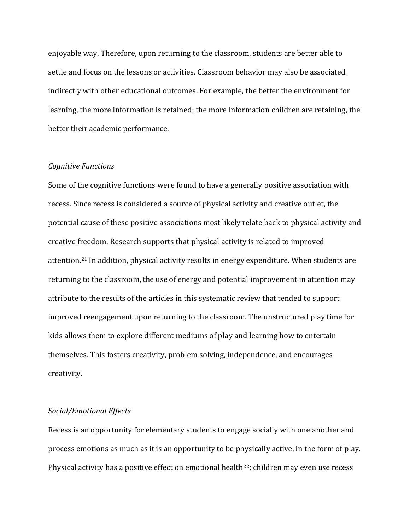enjoyable way. Therefore, upon returning to the classroom, students are better able to settle and focus on the lessons or activities. Classroom behavior may also be associated indirectly with other educational outcomes. For example, the better the environment for learning, the more information is retained; the more information children are retaining, the better their academic performance.

### *Cognitive Functions*

Some of the cognitive functions were found to have a generally positive association with recess. Since recess is considered a source of physical activity and creative outlet, the potential cause of these positive associations most likely relate back to physical activity and creative freedom. Research supports that physical activity is related to improved attention.<sup>21</sup> In addition, physical activity results in energy expenditure. When students are returning to the classroom, the use of energy and potential improvement in attention may attribute to the results of the articles in this systematic review that tended to support improved reengagement upon returning to the classroom. The unstructured play time for kids allows them to explore different mediums of play and learning how to entertain themselves. This fosters creativity, problem solving, independence, and encourages creativity.

### *Social/Emotional Effects*

Recess is an opportunity for elementary students to engage socially with one another and process emotions as much as it is an opportunity to be physically active, in the form of play. Physical activity has a positive effect on emotional health<sup>22</sup>; children may even use recess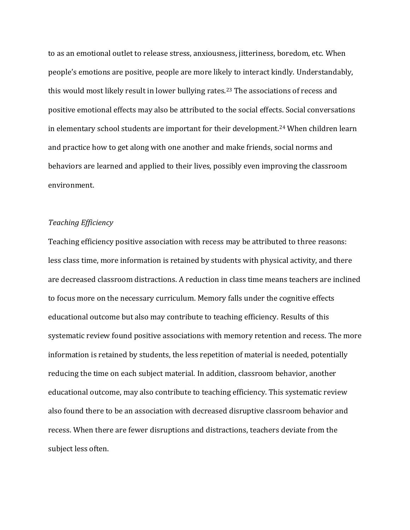to as an emotional outlet to release stress, anxiousness, jitteriness, boredom, etc. When people's emotions are positive, people are more likely to interact kindly. Understandably, this would most likely result in lower bullying rates.<sup>23</sup> The associations of recess and positive emotional effects may also be attributed to the social effects. Social conversations in elementary school students are important for their development.<sup>24</sup> When children learn and practice how to get along with one another and make friends, social norms and behaviors are learned and applied to their lives, possibly even improving the classroom environment.

### *Teaching Efficiency*

Teaching efficiency positive association with recess may be attributed to three reasons: less class time, more information is retained by students with physical activity, and there are decreased classroom distractions. A reduction in class time means teachers are inclined to focus more on the necessary curriculum. Memory falls under the cognitive effects educational outcome but also may contribute to teaching efficiency. Results of this systematic review found positive associations with memory retention and recess. The more information is retained by students, the less repetition of material is needed, potentially reducing the time on each subject material. In addition, classroom behavior, another educational outcome, may also contribute to teaching efficiency. This systematic review also found there to be an association with decreased disruptive classroom behavior and recess. When there are fewer disruptions and distractions, teachers deviate from the subject less often.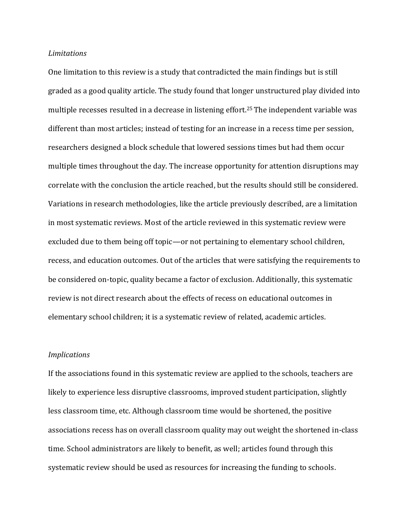### *Limitations*

One limitation to this review is a study that contradicted the main findings but is still graded as a good quality article. The study found that longer unstructured play divided into multiple recesses resulted in a decrease in listening effort. <sup>25</sup>The independent variable was different than most articles; instead of testing for an increase in a recess time per session, researchers designed a block schedule that lowered sessions times but had them occur multiple times throughout the day. The increase opportunity for attention disruptions may correlate with the conclusion the article reached, but the results should still be considered. Variations in research methodologies, like the article previously described, are a limitation in most systematic reviews. Most of the article reviewed in this systematic review were excluded due to them being off topic—or not pertaining to elementary school children, recess, and education outcomes. Out of the articles that were satisfying the requirements to be considered on-topic, quality became a factor of exclusion. Additionally, this systematic review is not direct research about the effects of recess on educational outcomes in elementary school children; it is a systematic review of related, academic articles.

## *Implications*

If the associations found in this systematic review are applied to the schools, teachers are likely to experience less disruptive classrooms, improved student participation, slightly less classroom time, etc. Although classroom time would be shortened, the positive associations recess has on overall classroom quality may out weight the shortened in-class time. School administrators are likely to benefit, as well; articles found through this systematic review should be used as resources for increasing the funding to schools.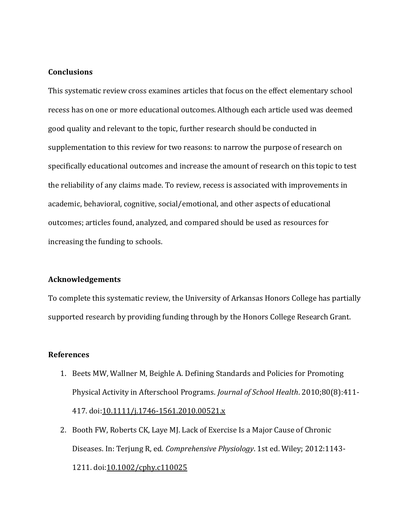# **Conclusions**

This systematic review cross examines articles that focus on the effect elementary school recess has on one or more educational outcomes. Although each article used was deemed good quality and relevant to the topic, further research should be conducted in supplementation to this review for two reasons: to narrow the purpose of research on specifically educational outcomes and increase the amount of research on this topic to test the reliability of any claims made. To review, recess is associated with improvements in academic, behavioral, cognitive, social/emotional, and other aspects of educational outcomes; articles found, analyzed, and compared should be used as resources for increasing the funding to schools.

### **Acknowledgements**

To complete this systematic review, the University of Arkansas Honors College has partially supported research by providing funding through by the Honors College Research Grant.

# **References**

- 1. Beets MW, Wallner M, Beighle A. Defining Standards and Policies for Promoting Physical Activity in Afterschool Programs. *Journal of School Health*. 2010;80(8):411- 417. doi[:10.1111/j.1746-1561.2010.00521.x](https://doi.org/10.1111/j.1746-1561.2010.00521.x)
- 2. Booth FW, Roberts CK, Laye MJ. Lack of Exercise Is a Major Cause of Chronic Diseases. In: Terjung R, ed. *Comprehensive Physiology*. 1st ed. Wiley; 2012:1143- 1211. doi[:10.1002/cphy.c110025](https://doi.org/10.1002/cphy.c110025)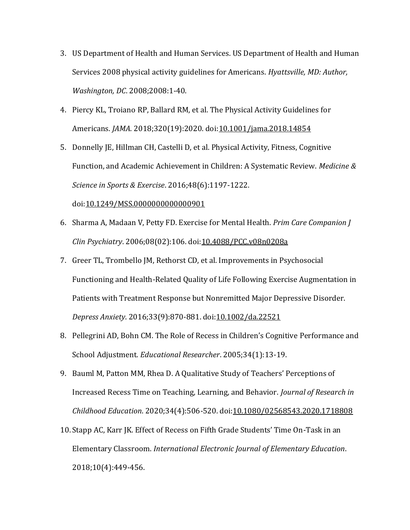- 3. US Department of Health and Human Services. US Department of Health and Human Services 2008 physical activity guidelines for Americans. *Hyattsville, MD: Author, Washington, DC*. 2008;2008:1-40.
- 4. Piercy KL, Troiano RP, Ballard RM, et al. The Physical Activity Guidelines for Americans. *JAMA*. 2018;320(19):2020. doi[:10.1001/jama.2018.14854](https://doi.org/10.1001/jama.2018.14854)
- 5. Donnelly JE, Hillman CH, Castelli D, et al. Physical Activity, Fitness, Cognitive Function, and Academic Achievement in Children: A Systematic Review. *Medicine & Science in Sports & Exercise*. 2016;48(6):1197-1222.

doi[:10.1249/MSS.0000000000000901](https://doi.org/10.1249/MSS.0000000000000901)

- 6. Sharma A, Madaan V, Petty FD. Exercise for Mental Health. *Prim Care Companion J Clin Psychiatry*. 2006;08(02):106. doi[:10.4088/PCC.v08n0208a](https://doi.org/10.4088/PCC.v08n0208a)
- 7. Greer TL, Trombello JM, Rethorst CD, et al. Improvements in Psychosocial Functioning and Health-Related Quality of Life Following Exercise Augmentation in Patients with Treatment Response but Nonremitted Major Depressive Disorder. *Depress Anxiety*. 2016;33(9):870-881. doi[:10.1002/da.22521](https://doi.org/10.1002/da.22521)
- 8. Pellegrini AD, Bohn CM. The Role of Recess in Children's Cognitive Performance and School Adjustment. *Educational Researcher*. 2005;34(1):13-19.
- 9. Bauml M, Patton MM, Rhea D. A Qualitative Study of Teachers' Perceptions of Increased Recess Time on Teaching, Learning, and Behavior. *Journal of Research in Childhood Education*. 2020;34(4):506-520. doi[:10.1080/02568543.2020.1718808](https://doi.org/10.1080/02568543.2020.1718808)
- 10.Stapp AC, Karr JK. Effect of Recess on Fifth Grade Students' Time On-Task in an Elementary Classroom. *International Electronic Journal of Elementary Education*. 2018;10(4):449-456.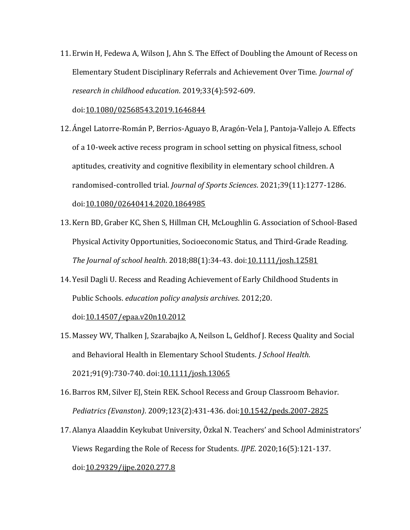11. Erwin H, Fedewa A, Wilson J, Ahn S. The Effect of Doubling the Amount of Recess on Elementary Student Disciplinary Referrals and Achievement Over Time. *Journal of research in childhood education*. 2019;33(4):592-609.

doi[:10.1080/02568543.2019.1646844](https://doi.org/10.1080/02568543.2019.1646844)

- 12. Ángel Latorre-Román P, Berrios-Aguayo B, Aragón-Vela J, Pantoja-Vallejo A. Effects of a 10-week active recess program in school setting on physical fitness, school aptitudes, creativity and cognitive flexibility in elementary school children. A randomised-controlled trial. *Journal of Sports Sciences*. 2021;39(11):1277-1286. doi[:10.1080/02640414.2020.1864985](https://doi.org/10.1080/02640414.2020.1864985)
- 13. Kern BD, Graber KC, Shen S, Hillman CH, McLoughlin G. Association of School‐Based Physical Activity Opportunities, Socioeconomic Status, and Third‐Grade Reading. *The Journal of school health*. 2018;88(1):34-43. doi[:10.1111/josh.12581](https://doi.org/10.1111/josh.12581)
- 14. Yesil Dagli U. Recess and Reading Achievement of Early Childhood Students in Public Schools. *education policy analysis archives*. 2012;20.

# doi[:10.14507/epaa.v20n10.2012](https://doi.org/10.14507/epaa.v20n10.2012)

- 15. Massey WV, Thalken J, Szarabajko A, Neilson L, Geldhof J. Recess Quality and Social and Behavioral Health in Elementary School Students. *J School Health*. 2021;91(9):730-740. doi[:10.1111/josh.13065](https://doi.org/10.1111/josh.13065)
- 16. Barros RM, Silver EJ, Stein REK. School Recess and Group Classroom Behavior. *Pediatrics (Evanston)*. 2009;123(2):431-436. doi[:10.1542/peds.2007-2825](https://doi.org/10.1542/peds.2007-2825)
- 17. Alanya Alaaddin Keykubat University, Özkal N. Teachers' and School Administrators' Views Regarding the Role of Recess for Students. *IJPE*. 2020;16(5):121-137. doi[:10.29329/ijpe.2020.277.8](https://doi.org/10.29329/ijpe.2020.277.8)